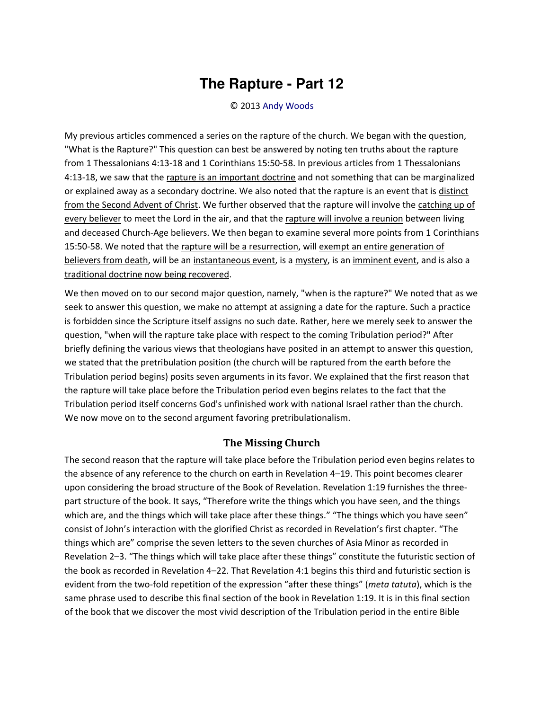## **The Rapture - Part 12**

## © 2013 [Andy Woods](http://www.spiritandtruth.org/id/aw.htm)

My previous articles commenced a series on the rapture of the church. We began with the question, "What is the Rapture?" This question can best be answered by noting ten truths about the rapture from 1 Thessalonians 4:13-18 and 1 Corinthians 15:50-58. In previous articles from 1 Thessalonians 4:13-18, we saw that th[e rapture is an important doctrine](http://www.bibleprophecyblog.com/2012/02/rapture-part-1.html) and not something that can be marginalized or explained away as a secondary doctrine. We also noted that the rapture is an event that is distinct [from the Second Advent of Christ.](http://www.bibleprophecyblog.com/2012/03/rapture-part-2.html) We further observed that the rapture will involve the [catching up of](http://www.bibleprophecyblog.com/2012/04/rapture-part-3.html) [every believer t](http://www.bibleprophecyblog.com/2012/04/rapture-part-3.html)o meet the Lord in the air, and that the [rapture will involve a reunion](http://www.bibleprophecyblog.com/2012/05/rapture-part-4.html) between living and deceased Church-Age believers. We then began to examine several more points from 1 Corinthians 15:50-58. We noted that the [rapture will be a resurrection,](http://www.bibleprophecyblog.com/2012/06/rapture-part-5.html) will exempt an entire generation of [believers from death,](http://www.bibleprophecyblog.com/2012/07/the-rapture-part-6.html) will be a[n instantaneous event,](http://www.bibleprophecyblog.com/2012/08/the-rapture-part-7.html) is a [mystery,](http://www.bibleprophecyblog.com/2012/12/the-rapture-part-8.html) is a[n imminent event,](http://www.bibleprophecyblog.com/2013/01/the-rapture-part-9.html) and is also a [traditional doctrine now being recovered.](http://www.bibleprophecyblog.com/2013/02/the-rapture-part-10.html)

We then moved on to our second major question, namely, "when is the rapture?" We noted that as we seek to answer this question, we make no attempt at assigning a date for the rapture. Such a practice is forbidden since the Scripture itself assigns no such date. Rather, here we merely seek to answer the question, "when will the rapture take place with respect to the coming Tribulation period?" After briefly defining the various views that theologians have posited in an attempt to answer this question, we stated that the pretribulation position (the church will be raptured from the earth before the Tribulation period begins) posits seven arguments in its favor. We explained that the first reason that the rapture will take place before the Tribulation period even begins relates to the fact that the Tribulation period itself concerns God's unfinished work with national Israel rather than the church. We now move on to the second argument favoring pretribulationalism.

## **The Missing Church**

The second reason that the rapture will take place before the Tribulation period even begins relates to the absence of any reference to the church on earth in Revelation 4–19. This point becomes clearer upon considering the broad structure of the Book of Revelation. Revelation 1:19 furnishes the threepart structure of the book. It says, "Therefore write the things which you have seen, and the things which are, and the things which will take place after these things." "The things which you have seen" consist of John's interaction with the glorified Christ as recorded in Revelation's first chapter. "The things which are" comprise the seven letters to the seven churches of Asia Minor as recorded in Revelation 2–3. "The things which will take place after these things" constitute the futuristic section of the book as recorded in Revelation 4–22. That Revelation 4:1 begins this third and futuristic section is evident from the two-fold repetition of the expression "after these things" (*meta tatuta*), which is the same phrase used to describe this final section of the book in Revelation 1:19. It is in this final section of the book that we discover the most vivid description of the Tribulation period in the entire Bible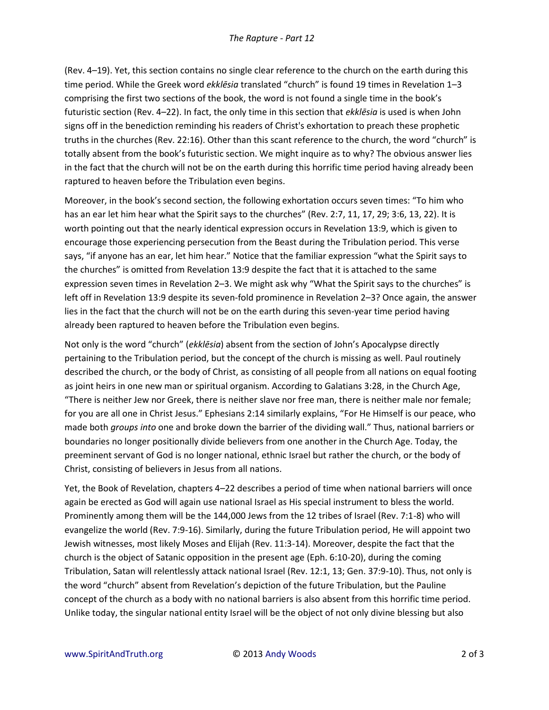(Rev. 4–19). Yet, this section contains no single clear reference to the church on the earth during this time period. While the Greek word ekklesia translated "church" is found 19 times in Revelation 1-3 comprising the first two sections of the book, the word is not found a single time in the book's futuristic section (Rev. 4-22). In fact, the only time in this section that ekklesia is used is when John signs off in the benediction reminding his readers of Christ's exhortation to preach these prophetic truths in the churches (Rev. 22:16). Other than this scant reference to the church, the word "church" is totally absent from the book's futuristic section. We might inquire as to why? The obvious answer lies in the fact that the church will not be on the earth during this horrific time period having already been raptured to heaven before the Tribulation even begins.

Moreover, in the book's second section, the following exhortation occurs seven times: "To him who has an ear let him hear what the Spirit says to the churches" (Rev. 2:7, 11, 17, 29; 3:6, 13, 22). It is worth pointing out that the nearly identical expression occurs in Revelation 13:9, which is given to encourage those experiencing persecution from the Beast during the Tribulation period. This verse says, "if anyone has an ear, let him hear." Notice that the familiar expression "what the Spirit says to the churches" is omitted from Revelation 13:9 despite the fact that it is attached to the same expression seven times in Revelation 2-3. We might ask why "What the Spirit says to the churches" is left off in Revelation 13:9 despite its seven-fold prominence in Revelation 2-3? Once again, the answer lies in the fact that the church will not be on the earth during this seven-year time period having already been raptured to heaven before the Tribulation even begins.

Not only is the word "church" (ekklesia) absent from the section of John's Apocalypse directly pertaining to the Tribulation period, but the concept of the church is missing as well. Paul routinely described the church, or the body of Christ, as consisting of all people from all nations on equal footing as joint heirs in one new man or spiritual organism. According to Galatians 3:28, in the Church Age, "There is neither Jew nor Greek, there is neither slave nor free man, there is neither male nor female; for you are all one in Christ Jesus." Ephesians 2:14 similarly explains, "For He Himself is our peace, who made both groups into one and broke down the barrier of the dividing wall." Thus, national barriers or boundaries no longer positionally divide believers from one another in the Church Age. Today, the preeminent servant of God is no longer national, ethnic Israel but rather the church, or the body of Christ, consisting of believers in Jesus from all nations.

Yet, the Book of Revelation, chapters 4-22 describes a period of time when national barriers will once again be erected as God will again use national Israel as His special instrument to bless the world. Prominently among them will be the 144,000 Jews from the 12 tribes of Israel (Rev. 7:1-8) who will evangelize the world (Rev. 7:9-16). Similarly, during the future Tribulation period, He will appoint two Jewish witnesses, most likely Moses and Elijah (Rev. 11:3-14). Moreover, despite the fact that the church is the object of Satanic opposition in the present age (Eph. 6:10-20), during the coming Tribulation, Satan will relentlessly attack national Israel (Rev. 12:1, 13; Gen. 37:9-10). Thus, not only is the word "church" absent from Revelation's depiction of the future Tribulation, but the Pauline concept of the church as a body with no national barriers is also absent from this horrific time period. Unlike today, the singular national entity Israel will be the object of not only divine blessing but also